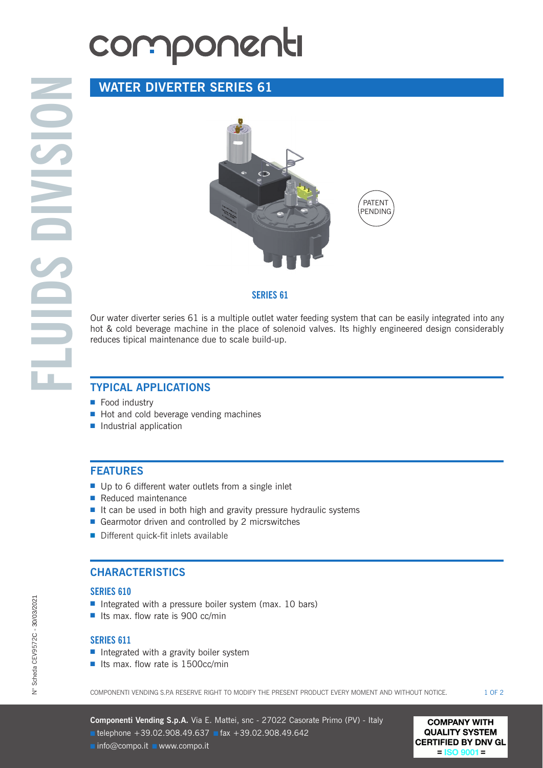# componenti

# **WATER DIVERTER SERIES 61**



#### **SERIES 61**

Our water diverter series 61 is a multiple outlet water feeding system that can be easily integrated into any hot & cold beverage machine in the place of solenoid valves. Its highly engineered design considerably reduces tipical maintenance due to scale build-up.

## **TYPICAL APPLICATIONS**

- Food industry
- Hot and cold beverage vending machines
- Industrial application

## **FEATURES**

- Up to 6 different water outlets from a single inlet
- Reduced maintenance
- It can be used in both high and gravity pressure hydraulic systems
- Gearmotor driven and controlled by 2 micrswitches
- Different quick-fit inlets available

## **CHARACTERISTICS**

#### **SERIES 610**

- Integrated with a pressure boiler system (max. 10 bars)
- Its max. flow rate is 900 cc/min

#### **SERIES 611**

- Integrated with a gravity boiler system
- Its max. flow rate is 1500cc/min

COMPONENTI VENDING S.P.A RESERVE RIGHT TO MODIFY THE PRESENT PRODUCT EVERY MOMENT AND WITHOUT NOTICE.  $10F2$ 

**Componenti Vending S.p.A.** Via E. Mattei, snc - 27022 Casorate Primo (PV) - Italy ■ telephone +39.02.908.49.637 ■ fax +39.02.908.49.642 ■ info@compo.it ■ www.compo.it

**COMPANY WITH QUALITY SYSTEM CERTIFIED BY DNV GL**  $=$  ISO 9001  $=$